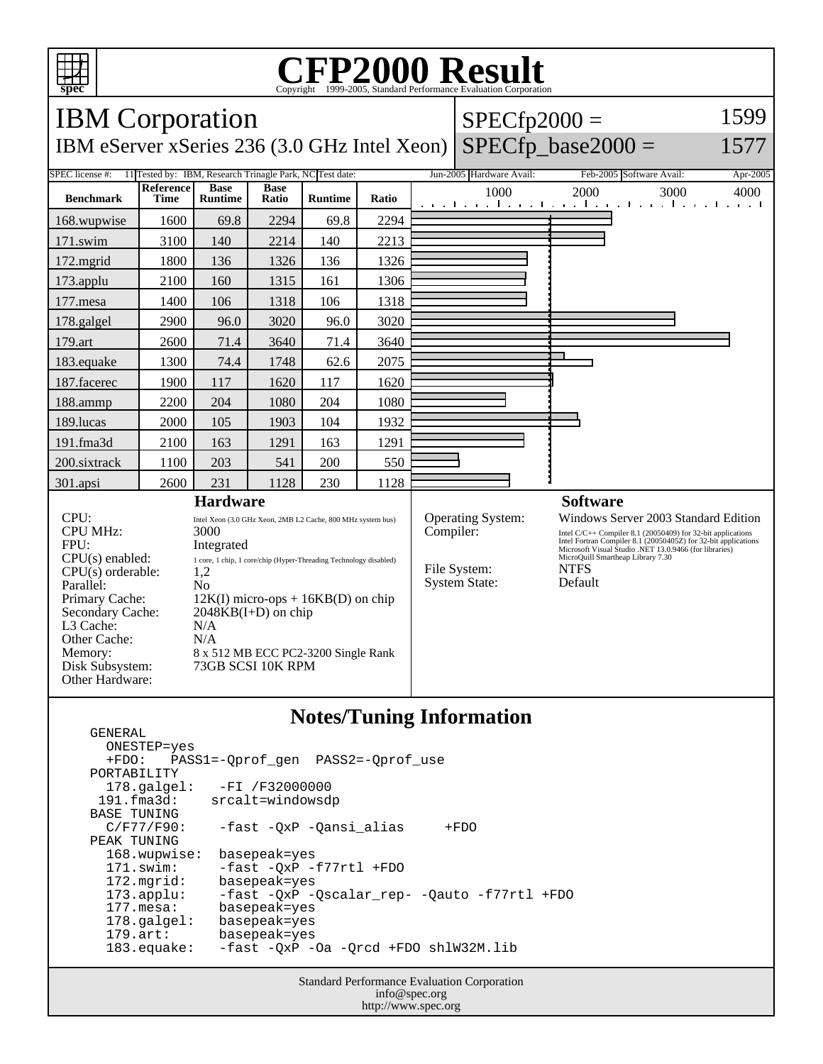

GENERAL

## C<sub>opyright</sub> ©1999-2005, Standard Performance Evaluation Corporation

| <b>IBM</b> Corporation                                                                                                                                                                                   |                                                                                                                                                                                                                                                                                                                              |                               |                      |                |           |                                                           | $SPECfp2000 =$                                                                                                                                                                                                                                                                                 |                                                                         | 1599                               |  |
|----------------------------------------------------------------------------------------------------------------------------------------------------------------------------------------------------------|------------------------------------------------------------------------------------------------------------------------------------------------------------------------------------------------------------------------------------------------------------------------------------------------------------------------------|-------------------------------|----------------------|----------------|-----------|-----------------------------------------------------------|------------------------------------------------------------------------------------------------------------------------------------------------------------------------------------------------------------------------------------------------------------------------------------------------|-------------------------------------------------------------------------|------------------------------------|--|
| $SPECfp\_base2000 =$<br>IBM eServer xSeries 236 (3.0 GHz Intel Xeon)<br>1577                                                                                                                             |                                                                                                                                                                                                                                                                                                                              |                               |                      |                |           |                                                           |                                                                                                                                                                                                                                                                                                |                                                                         |                                    |  |
| Jun-2005 Hardware Avail:<br>SPEC license #:<br>11 Tested by: IBM, Research Trinagle Park, NC Test date:<br>Feb-2005 Software Avail:<br>Apr-2005                                                          |                                                                                                                                                                                                                                                                                                                              |                               |                      |                |           |                                                           |                                                                                                                                                                                                                                                                                                |                                                                         |                                    |  |
| <b>Benchmark</b>                                                                                                                                                                                         | <b>Reference</b><br><b>Time</b>                                                                                                                                                                                                                                                                                              | <b>Base</b><br><b>Runtime</b> | <b>Base</b><br>Ratio | <b>Runtime</b> | Ratio     |                                                           | 1000                                                                                                                                                                                                                                                                                           | 2000<br>3000<br>والمتحار والمتحار والمتحار والمتحار والمتحارب والمناوية | 4000<br>and a fill<br>$\mathbf{1}$ |  |
| 168.wupwise                                                                                                                                                                                              | 1600                                                                                                                                                                                                                                                                                                                         | 69.8                          | 2294                 | 69.8           | 2294      |                                                           |                                                                                                                                                                                                                                                                                                |                                                                         |                                    |  |
| 171.swim                                                                                                                                                                                                 | 3100                                                                                                                                                                                                                                                                                                                         | 140                           | 2214                 | 140            | 2213      |                                                           |                                                                                                                                                                                                                                                                                                |                                                                         |                                    |  |
| 172.mgrid                                                                                                                                                                                                | 1800                                                                                                                                                                                                                                                                                                                         | 136                           | 1326                 | 136            | 1326      |                                                           |                                                                                                                                                                                                                                                                                                |                                                                         |                                    |  |
| 173.applu                                                                                                                                                                                                | 2100                                                                                                                                                                                                                                                                                                                         | 160                           | 1315                 | 161            | 1306      |                                                           |                                                                                                                                                                                                                                                                                                |                                                                         |                                    |  |
| 177.mesa                                                                                                                                                                                                 | 1400                                                                                                                                                                                                                                                                                                                         | 106                           | 1318                 | 106            | 1318      |                                                           |                                                                                                                                                                                                                                                                                                |                                                                         |                                    |  |
| 178.galgel                                                                                                                                                                                               | 2900                                                                                                                                                                                                                                                                                                                         | 96.0                          | 3020                 | 96.0           | 3020      |                                                           |                                                                                                                                                                                                                                                                                                |                                                                         |                                    |  |
| 179.art                                                                                                                                                                                                  | 2600                                                                                                                                                                                                                                                                                                                         | 71.4                          | 3640                 | 71.4           | 3640      |                                                           |                                                                                                                                                                                                                                                                                                |                                                                         |                                    |  |
| 183.equake                                                                                                                                                                                               | 1300                                                                                                                                                                                                                                                                                                                         | 74.4                          | 1748                 | 62.6           | 2075      |                                                           |                                                                                                                                                                                                                                                                                                |                                                                         |                                    |  |
| 187.facerec                                                                                                                                                                                              | 1900                                                                                                                                                                                                                                                                                                                         | 117                           | 1620                 | 117            | 1620      |                                                           |                                                                                                                                                                                                                                                                                                |                                                                         |                                    |  |
| 188.ammp                                                                                                                                                                                                 | 2200                                                                                                                                                                                                                                                                                                                         | 204                           | 1080                 | 204            | 1080      |                                                           |                                                                                                                                                                                                                                                                                                |                                                                         |                                    |  |
| 189.lucas                                                                                                                                                                                                | 2000                                                                                                                                                                                                                                                                                                                         | 105                           | 1903                 | 104            | 1932      |                                                           |                                                                                                                                                                                                                                                                                                |                                                                         |                                    |  |
| $191$ .fma $3d$                                                                                                                                                                                          | 2100                                                                                                                                                                                                                                                                                                                         | 163                           | 1291                 | 163            | 1291      |                                                           |                                                                                                                                                                                                                                                                                                |                                                                         |                                    |  |
| 200.sixtrack                                                                                                                                                                                             | 1100                                                                                                                                                                                                                                                                                                                         | 203                           | 541                  | 200            | 550       |                                                           |                                                                                                                                                                                                                                                                                                |                                                                         |                                    |  |
| 301.apsi                                                                                                                                                                                                 | 2600                                                                                                                                                                                                                                                                                                                         | 231                           | 1128                 | 230            | 1128      |                                                           |                                                                                                                                                                                                                                                                                                |                                                                         |                                    |  |
| <b>Hardware</b>                                                                                                                                                                                          |                                                                                                                                                                                                                                                                                                                              |                               |                      |                |           |                                                           | <b>Software</b>                                                                                                                                                                                                                                                                                |                                                                         |                                    |  |
| CPU:<br><b>CPU MHz:</b><br>FPU:<br>CPU(s) enabled:<br>CPU(s) orderable:<br>Parallel:<br>Primary Cache:<br>Secondary Cache:<br>L3 Cache:<br>Other Cache:<br>Memory:<br>Disk Subsystem:<br>Other Hardware: | Intel Xeon (3.0 GHz Xeon, 2MB L2 Cache, 800 MHz system bus)<br>3000<br>Integrated<br>1 core, 1 chip, 1 core/chip (Hyper-Threading Technology disabled)<br>1,2<br>N <sub>0</sub><br>$12K(I)$ micro-ops + $16KB(D)$ on chip<br>$2048KB(I+D)$ on chip<br>N/A<br>N/A<br>8 x 512 MB ECC PC2-3200 Single Rank<br>73GB SCSI 10K RPM |                               |                      |                | Compiler: | Operating System:<br>File System:<br><b>System State:</b> | Windows Server 2003 Standard Edition<br>Intel C/C++ Compiler 8.1 (20050409) for 32-bit applications<br>Intel Fortran Compiler 8.1 (20050405Z) for 32-bit applications<br>Microsoft Visual Studio .NET 13.0.9466 (for libraries)<br>MicroQuill Smartheap Library 7.30<br><b>NTFS</b><br>Default |                                                                         |                                    |  |

#### **Notes/Tuning Information**

 ONESTEP=yes +FDO: PASS1=-Qprof\_gen PASS2=-Qprof\_use PORTABILITY<br>178.qalqel: 178.galgel: -FI /F32000000 191.fma3d: srcalt=windowsdp BASE TUNING<br>C/F77/F90: -fast -QxP -Qansi\_alias +FDO PEAK TUNING 168.wupwise: basepeak=yes 171.swim: -fast -QxP -f77rtl +FDO 172.mgrid: basepeak=yes<br>173.applu: -fast -QxP - 173.applu: -fast -QxP -Qscalar\_rep- -Qauto -f77rtl +FDO basepeak=yes<br>basepeak=yes  $178.galgel:$ 179.art: basepeak=yes<br>183.equake: -fast -QxP - $-$ fast  $-$ QxP  $-$ Oa  $-$ Qrcd +FDO shlW32M.lib

> Standard Performance Evaluation Corporation info@spec.org http://www.spec.org